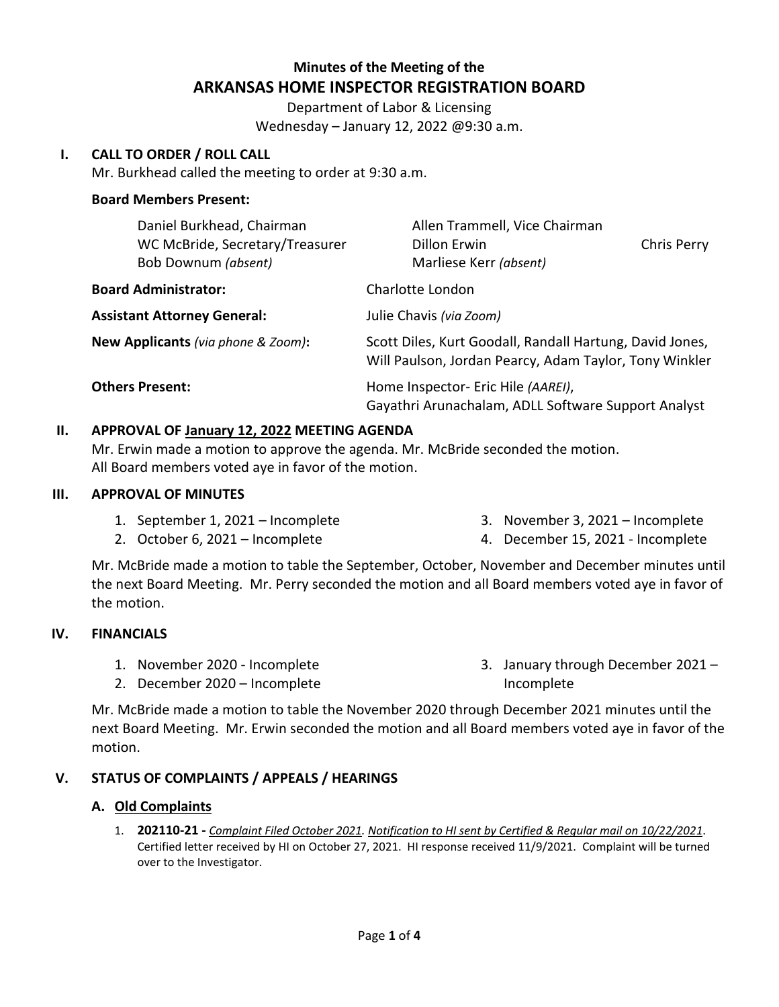# **Minutes of the Meeting of the ARKANSAS HOME INSPECTOR REGISTRATION BOARD**

Department of Labor & Licensing Wednesday – January 12, 2022 @9:30 a.m.

# **I. CALL TO ORDER / ROLL CALL**

Mr. Burkhead called the meeting to order at 9:30 a.m.

# **Board Members Present:**

| Daniel Burkhead, Chairman<br>WC McBride, Secretary/Treasurer<br>Bob Downum (absent) | Allen Trammell, Vice Chairman<br>Dillon Erwin<br><b>Chris Perry</b><br>Marliese Kerr (absent)                      |  |
|-------------------------------------------------------------------------------------|--------------------------------------------------------------------------------------------------------------------|--|
| <b>Board Administrator:</b>                                                         | Charlotte London                                                                                                   |  |
| <b>Assistant Attorney General:</b>                                                  | Julie Chavis (via Zoom)                                                                                            |  |
| New Applicants (via phone & Zoom):                                                  | Scott Diles, Kurt Goodall, Randall Hartung, David Jones,<br>Will Paulson, Jordan Pearcy, Adam Taylor, Tony Winkler |  |
| <b>Others Present:</b>                                                              | Home Inspector- Eric Hile (AAREI),<br>Gayathri Arunachalam, ADLL Software Support Analyst                          |  |

# **II. APPROVAL OF January 12, 2022 MEETING AGENDA**

Mr. Erwin made a motion to approve the agenda. Mr. McBride seconded the motion. All Board members voted aye in favor of the motion.

# **III. APPROVAL OF MINUTES**

1. September 1, 2021 – Incomplete

- 3. November 3, 2021 Incomplete
- 2. October 6, 2021 Incomplete
- 4. December 15, 2021 Incomplete

Mr. McBride made a motion to table the September, October, November and December minutes until the next Board Meeting. Mr. Perry seconded the motion and all Board members voted aye in favor of the motion.

# **IV. FINANCIALS**

- 1. November 2020 Incomplete
- 2. December 2020 Incomplete

3. January through December 2021 – Incomplete

Mr. McBride made a motion to table the November 2020 through December 2021 minutes until the next Board Meeting. Mr. Erwin seconded the motion and all Board members voted aye in favor of the motion.

# **V. STATUS OF COMPLAINTS / APPEALS / HEARINGS**

# **A. Old Complaints**

1. **202110-21 -** *Complaint Filed October 2021. Notification to HI sent by Certified & Regular mail on 10/22/2021*. Certified letter received by HI on October 27, 2021. HI response received 11/9/2021. Complaint will be turned over to the Investigator.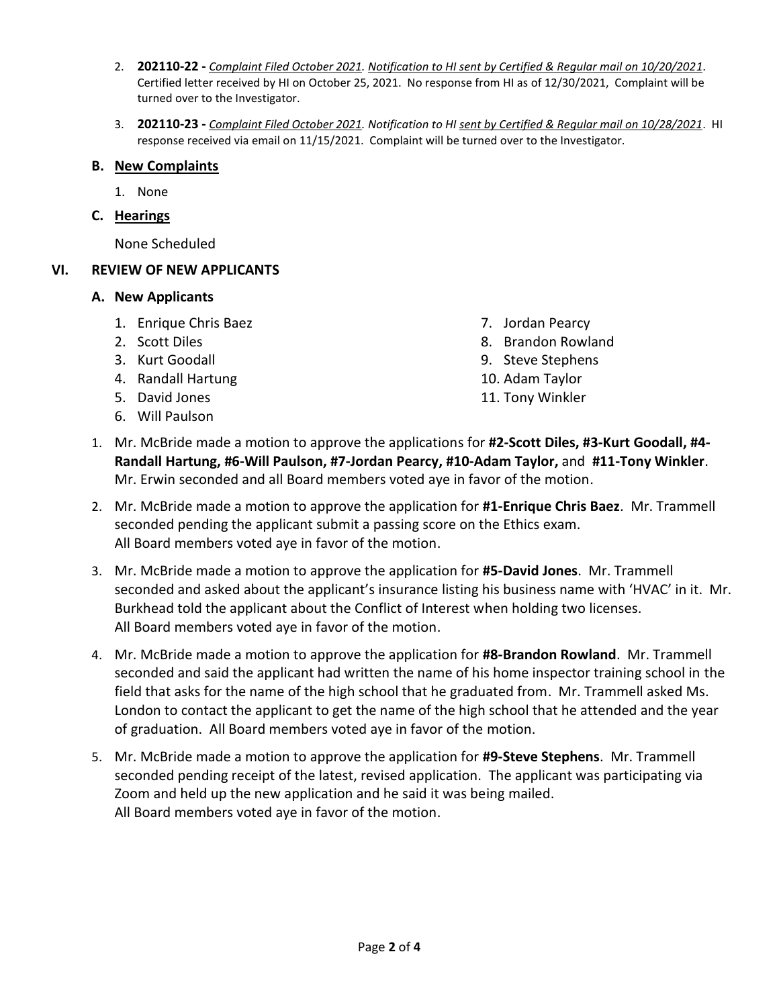- 2. **202110-22 -** *Complaint Filed October 2021. Notification to HI sent by Certified & Regular mail on 10/20/2021*. Certified letter received by HI on October 25, 2021. No response from HI as of 12/30/2021, Complaint will be turned over to the Investigator.
- 3. **202110-23 -** *Complaint Filed October 2021. Notification to HI sent by Certified & Regular mail on 10/28/2021*. HI response received via email on 11/15/2021. Complaint will be turned over to the Investigator.

# **B. New Complaints**

- 1. None
- **C. Hearings**

None Scheduled

# **VI. REVIEW OF NEW APPLICANTS**

#### **A. New Applicants**

- 1. Enrique Chris Baez
- 2. Scott Diles
- 3. Kurt Goodall
- 4. Randall Hartung
- 5. David Jones
- 6. Will Paulson
- 7. Jordan Pearcy
- 8. Brandon Rowland
- 9. Steve Stephens
- 10. Adam Taylor
- 11. Tony Winkler
- 1. Mr. McBride made a motion to approve the applications for **#2-Scott Diles, #3-Kurt Goodall, #4- Randall Hartung, #6-Will Paulson, #7-Jordan Pearcy, #10-Adam Taylor,** and **#11-Tony Winkler**. Mr. Erwin seconded and all Board members voted aye in favor of the motion.
- 2. Mr. McBride made a motion to approve the application for **#1-Enrique Chris Baez**. Mr. Trammell seconded pending the applicant submit a passing score on the Ethics exam. All Board members voted aye in favor of the motion.
- 3. Mr. McBride made a motion to approve the application for **#5-David Jones**. Mr. Trammell seconded and asked about the applicant's insurance listing his business name with 'HVAC' in it. Mr. Burkhead told the applicant about the Conflict of Interest when holding two licenses. All Board members voted aye in favor of the motion.
- 4. Mr. McBride made a motion to approve the application for **#8-Brandon Rowland**. Mr. Trammell seconded and said the applicant had written the name of his home inspector training school in the field that asks for the name of the high school that he graduated from. Mr. Trammell asked Ms. London to contact the applicant to get the name of the high school that he attended and the year of graduation. All Board members voted aye in favor of the motion.
- 5. Mr. McBride made a motion to approve the application for **#9-Steve Stephens**. Mr. Trammell seconded pending receipt of the latest, revised application. The applicant was participating via Zoom and held up the new application and he said it was being mailed. All Board members voted aye in favor of the motion.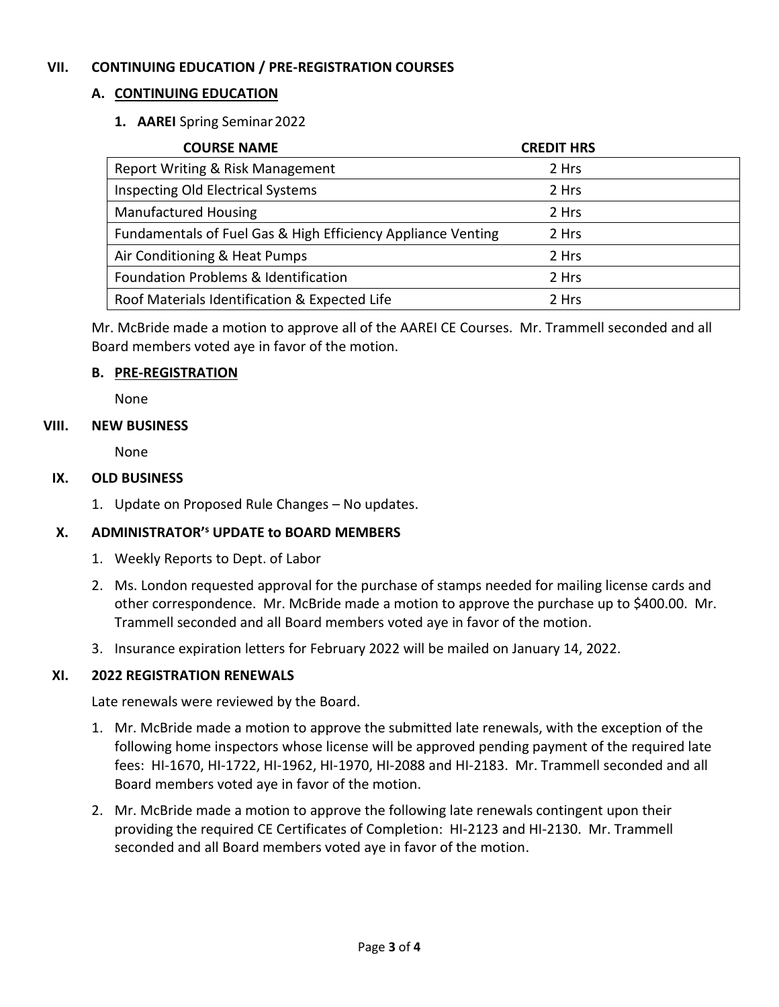# **VII. CONTINUING EDUCATION / PRE-REGISTRATION COURSES**

# **A. CONTINUING EDUCATION**

# **1. AAREI** Spring Seminar2022

| <b>COURSE NAME</b>                                           | <b>CREDIT HRS</b> |
|--------------------------------------------------------------|-------------------|
| Report Writing & Risk Management                             | 2 Hrs             |
| Inspecting Old Electrical Systems                            | 2 Hrs             |
| <b>Manufactured Housing</b>                                  | 2 Hrs             |
| Fundamentals of Fuel Gas & High Efficiency Appliance Venting | 2 Hrs             |
| Air Conditioning & Heat Pumps                                | 2 Hrs             |
| Foundation Problems & Identification                         | 2 Hrs             |
| Roof Materials Identification & Expected Life                | 2 Hrs             |

Mr. McBride made a motion to approve all of the AAREI CE Courses. Mr. Trammell seconded and all Board members voted aye in favor of the motion.

#### **B. PRE-REGISTRATION**

None

#### **VIII. NEW BUSINESS**

None

# **IX. OLD BUSINESS**

1. Update on Proposed Rule Changes – No updates.

# **X. ADMINISTRATOR'<sup>s</sup> UPDATE to BOARD MEMBERS**

- 1. Weekly Reports to Dept. of Labor
- 2. Ms. London requested approval for the purchase of stamps needed for mailing license cards and other correspondence. Mr. McBride made a motion to approve the purchase up to \$400.00. Mr. Trammell seconded and all Board members voted aye in favor of the motion.
- 3. Insurance expiration letters for February 2022 will be mailed on January 14, 2022.

# **XI. 2022 REGISTRATION RENEWALS**

Late renewals were reviewed by the Board.

- 1. Mr. McBride made a motion to approve the submitted late renewals, with the exception of the following home inspectors whose license will be approved pending payment of the required late fees: HI-1670, HI-1722, HI-1962, HI-1970, HI-2088 and HI-2183. Mr. Trammell seconded and all Board members voted aye in favor of the motion.
- 2. Mr. McBride made a motion to approve the following late renewals contingent upon their providing the required CE Certificates of Completion: HI-2123 and HI-2130. Mr. Trammell seconded and all Board members voted aye in favor of the motion.